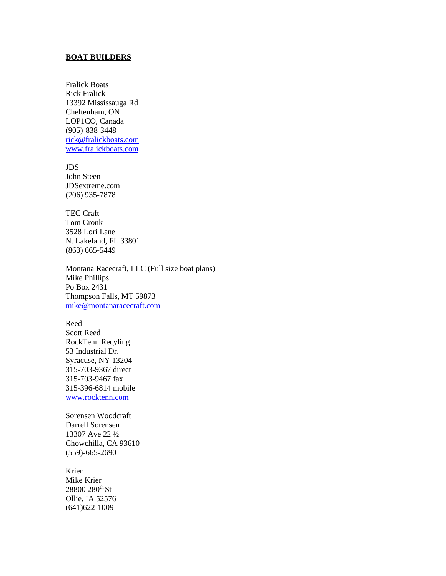#### **BOAT BUILDERS**

Fralick Boats Rick Fralick 13392 Mississauga Rd Cheltenham, ON LOP1CO, Canada (905)-838-3448 [rick@fralickboats.com](mailto:rick@fralickboats.com) [www.fralickboats.com](http://www.fralickboats.com/)

# JDS

John Steen JDSextreme.com (206) 935-7878

TEC Craft Tom Cronk 3528 Lori Lane N. Lakeland, FL 33801 (863) 665-5449

Montana Racecraft, LLC (Full size boat plans) Mike Phillips Po Box 2431 Thompson Falls, MT 59873 [mike@montanaracecraft.com](mailto:mike@montanaracecraft.com)

# Reed

Scott Reed RockTenn Recyling 53 Industrial Dr. Syracuse, NY 13204 315-703-9367 direct 315-703-9467 fax 315-396-6814 mobile [www.rocktenn.com](http://www.rocktenn.com/)

Sorensen Woodcraft Darrell Sorensen 13307 Ave 22 ½ Chowchilla, CA 93610 (559)-665-2690

# Krier

Mike Krier 28800 280<sup>th</sup> St Ollie, IA 52576 (641)622-1009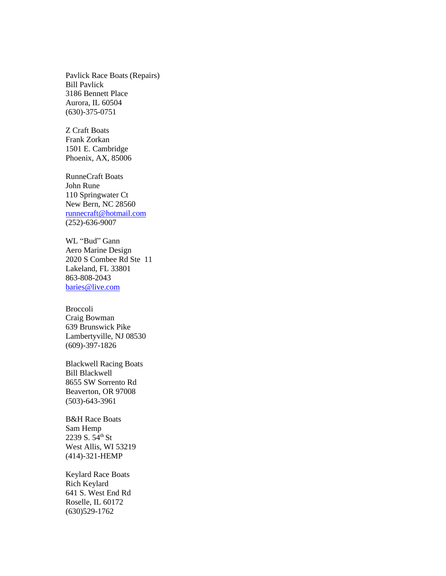Pavlick Race Boats (Repairs) Bill Pavlick 3186 Bennett Place Aurora, IL 60504 (630)-375-0751

Z Craft Boats Frank Zorkan 1501 E. Cambridge Phoenix, AX, 85006

RunneCraft Boats John Rune 110 Springwater Ct New Bern, NC 28560 [runnecraft@hotmail.com](mailto:runnecraft@hotmail.com) (252)-636-9007

WL "Bud" Gann Aero Marine Design 2020 S Combee Rd Ste 11 Lakeland, FL 33801 863-808-2043 [baries@live.com](mailto:baries@live.com)

Broccoli Craig Bowman 639 Brunswick Pike Lambertyville, NJ 08530 (609)-397-1826

Blackwell Racing Boats Bill Blackwell 8655 SW Sorrento Rd Beaverton, OR 97008 (503)-643-3961

B&H Race Boats Sam Hemp 2239 S.  $54^{\text{th}}$  St West Allis, WI 53219 (414)-321-HEMP

Keylard Race Boats Rich Keylard 641 S. West End Rd Roselle, IL 60172 (630)529-1762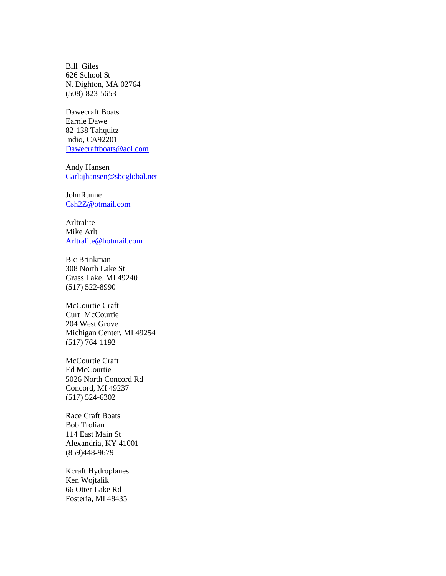Bill Giles 626 School St N. Dighton, MA 02764 (508)-823-5653

Dawecraft Boats Earnie Dawe 82-138 Tahquitz Indio, CA92201 [Dawecraftboats@aol.com](mailto:Dawecraftboats@aol.com)

Andy Hansen [Carlajhansen@sbcglobal.net](mailto:Carlajhansen@sbcglobal.net)

JohnRunne [Csh2Z@otmail.com](mailto:Csh2Z@otmail.com)

Arltralite Mike Arlt [Arltralite@hotmail.com](mailto:Arltralite@hotmail.com)

Bic Brinkman 308 North Lake St Grass Lake, MI 49240 (517) 522-8990

McCourtie Craft Curt McCourtie 204 West Grove Michigan Center, MI 49254 (517) 764-1192

McCourtie Craft Ed McCourtie 5026 North Concord Rd Concord, MI 49237 (517) 524-6302

Race Craft Boats Bob Trolian 114 East Main St Alexandria, KY 41001 (859)448-9679

Kcraft Hydroplanes Ken Wojtalik 66 Otter Lake Rd Fosteria, MI 48435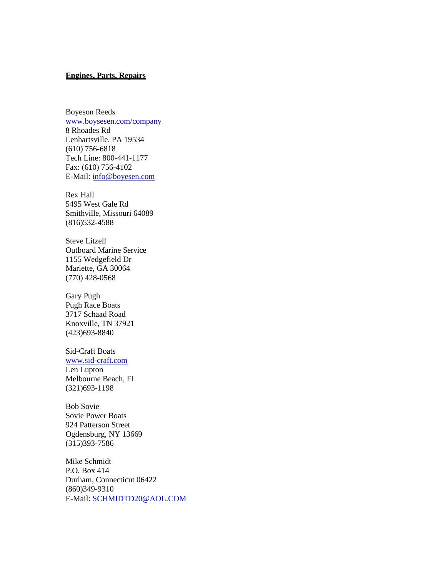### **Engines, Parts, Repairs**

Boyeson Reeds [www.boysesen.com/company](http://www.boysesen.com/company) 8 Rhoades Rd Lenhartsville, PA 19534 (610) 756-6818 Tech Line: 800-441-1177 Fax: (610) 756-4102 E-Mail: [info@boyesen.com](mailto:info@boyesen.com)

Rex Hall 5495 West Gale Rd Smithville, Missouri 64089 (816)532-4588

Steve Litzell Outboard Marine Service 1155 Wedgefield Dr Mariette, GA 30064 (770) 428-0568

Gary Pugh Pugh Race Boats 3717 Schaad Road Knoxville, TN 37921 (423)693-8840

Sid-Craft Boats [www.sid-craft.com](http://www.sid-craft.com/) Len Lupton Melbourne Beach, FL (321)693-1198

Bob Sovie Sovie Power Boats 924 Patterson Street Ogdensburg, NY 13669 (315)393-7586

Mike Schmidt P.O. Box 414 Durham, Connecticut 06422 (860)349-9310 E-Mail: [SCHMIDTD20@AOL.COM](mailto:SCHMIDTD20@AOL.COM)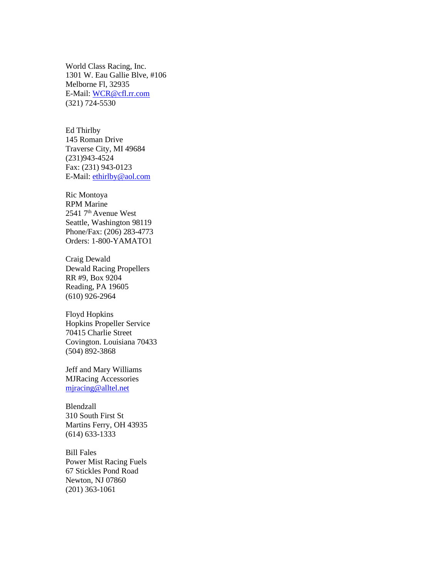World Class Racing, Inc. 1301 W. Eau Gallie Blve, #106 Melborne Fl, 32935 E-Mail: [WCR@cfl.rr.com](mailto:WCR@cfl.rr.com) (321) 724-5530

Ed Thirlby 145 Roman Drive Traverse City, MI 49684 (231)943-4524 Fax: (231) 943-0123 E-Mail: [ethirlby@aol.com](mailto:ethirlby@aol.com)

Ric Montoya RPM Marine 2541 7th Avenue West Seattle, Washington 98119 Phone/Fax: (206) 283-4773 Orders: 1-800-YAMATO1

Craig Dewald Dewald Racing Propellers RR #9, Box 9204 Reading, PA 19605 (610) 926-2964

Floyd Hopkins Hopkins Propeller Service 70415 Charlie Street Covington. Louisiana 70433 (504) 892-3868

Jeff and Mary Williams MJRacing Accessories [mjracing@alltel.net](mailto:mjracing@alltel.net)

Blendzall 310 South First St Martins Ferry, OH 43935 (614) 633-1333

Bill Fales Power Mist Racing Fuels 67 Stickles Pond Road Newton, NJ 07860 (201) 363-1061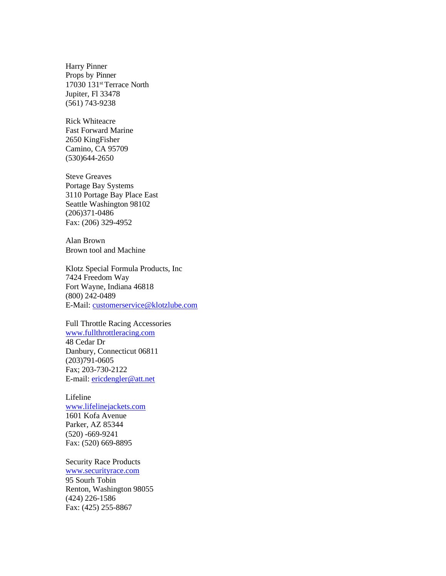Harry Pinner Props by Pinner 17030 131<sup>st</sup> Terrace North Jupiter, Fl 33478 (561) 743-9238

Rick Whiteacre Fast Forward Marine 2650 KingFisher Camino, CA 95709 (530)644-2650

Steve Greaves Portage Bay Systems 3110 Portage Bay Place East Seattle Washington 98102 (206)371-0486 Fax: (206) 329-4952

Alan Brown Brown tool and Machine

Klotz Special Formula Products, Inc 7424 Freedom Way Fort Wayne, Indiana 46818 (800) 242-0489 E-Mail: [customerservice@klotzlube.com](mailto:customerservice@klotzlube.com)

Full Throttle Racing Accessories [www.fullthrottleracing.com](http://www.fullthrottleracing.com/) 48 Cedar Dr Danbury, Connecticut 06811 (203)791-0605 Fax; 203-730-2122 E-mail[: ericdengler@att.net](mailto:ericdengler@att.net)

#### Lifeline

[www.lifelinejackets.com](http://www.lifelinejackets.com/) 1601 Kofa Avenue Parker, AZ 85344 (520) -669-9241 Fax: (520) 669-8895

Security Race Products [www.securityrace.com](http://www.securityrace.com/) 95 Sourh Tobin Renton, Washington 98055 (424) 226-1586 Fax: (425) 255-8867